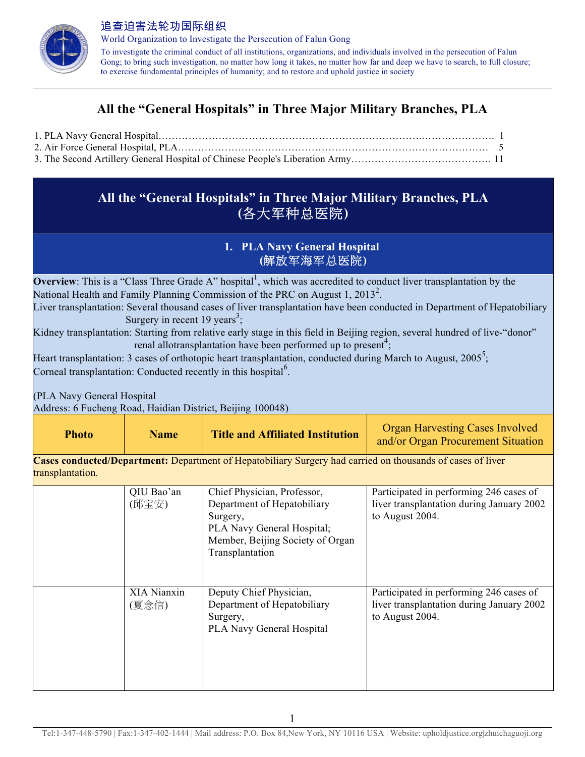

World Organization to Investigate the Persecution of Falun Gong To investigate the criminal conduct of all institutions, organizations, and individuals involved in the persecution of Falun Gong; to bring such investigation, no matter how long it takes, no matter how far and deep we have to search, to full closure; to exercise fundamental principles of humanity; and to restore and uphold justice in society

# **All the "General Hospitals" in Three Major Military Branches, PLA**

# **All the "General Hospitals" in Three Major Military Branches, PLA (**各大军种总医院**)**

## **1. PLA Navy General Hospital (**解放军海军总医院**)**

**Overview**: This is a "Class Three Grade A" hospital<sup>1</sup>, which was accredited to conduct liver transplantation by the National Health and Family Planning Commission of the PRC on August 1, 2013<sup>2</sup>.

Liver transplantation: Several thousand cases of liver transplantation have been conducted in Department of Hepatobiliary Surgery in recent 19 years<sup>3</sup>;

Kidney transplantation: Starting from relative early stage in this field in Beijing region, several hundred of live-"donor" renal allotransplantation have been performed up to present<sup>4</sup>;

Heart transplantation: 3 cases of orthotopic heart transplantation, conducted during March to August,  $2005^5$ ; Corneal transplantation: Conducted recently in this hospital<sup>6</sup>.

(PLA Navy General Hospital

Address: 6 Fucheng Road, Haidian District, Beijing 100048)

| <b>Title and Affiliated Institution</b><br><b>Name</b><br>Photo | <b>Organ Harvesting Cases Involved</b><br>and/or Organ Procurement Situation |
|-----------------------------------------------------------------|------------------------------------------------------------------------------|
|-----------------------------------------------------------------|------------------------------------------------------------------------------|

**Cases conducted/Department:** Department of Hepatobiliary Surgery had carried on thousands of cases of liver transplantation.

| QIU Bao'an<br>(邱宝安)  | Chief Physician, Professor,<br>Department of Hepatobiliary<br>Surgery,<br>PLA Navy General Hospital;<br>Member, Beijing Society of Organ<br>Transplantation | Participated in performing 246 cases of<br>liver transplantation during January 2002<br>to August 2004. |
|----------------------|-------------------------------------------------------------------------------------------------------------------------------------------------------------|---------------------------------------------------------------------------------------------------------|
| XIA Nianxin<br>(夏念信) | Deputy Chief Physician,<br>Department of Hepatobiliary<br>Surgery,<br><b>PLA Navy General Hospital</b>                                                      | Participated in performing 246 cases of<br>liver transplantation during January 2002<br>to August 2004. |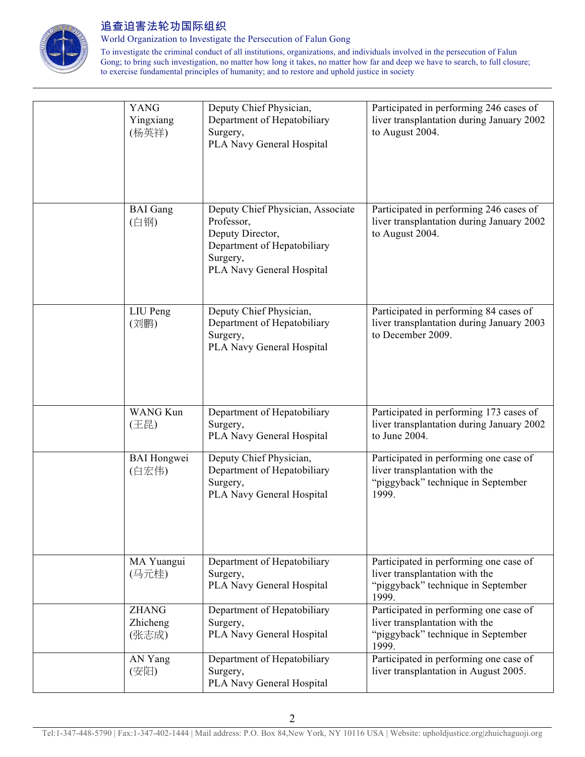

World Organization to Investigate the Persecution of Falun Gong

| <b>YANG</b><br>Yingxiang<br>(杨英祥) | Deputy Chief Physician,<br>Department of Hepatobiliary<br>Surgery,<br>PLA Navy General Hospital                                             | Participated in performing 246 cases of<br>liver transplantation during January 2002<br>to August 2004.                 |
|-----------------------------------|---------------------------------------------------------------------------------------------------------------------------------------------|-------------------------------------------------------------------------------------------------------------------------|
| <b>BAI</b> Gang<br>(白钢)           | Deputy Chief Physician, Associate<br>Professor,<br>Deputy Director,<br>Department of Hepatobiliary<br>Surgery,<br>PLA Navy General Hospital | Participated in performing 246 cases of<br>liver transplantation during January 2002<br>to August 2004.                 |
| LIU Peng<br>(刘鹏)                  | Deputy Chief Physician,<br>Department of Hepatobiliary<br>Surgery,<br>PLA Navy General Hospital                                             | Participated in performing 84 cases of<br>liver transplantation during January 2003<br>to December 2009.                |
| <b>WANG Kun</b><br>(王昆)           | Department of Hepatobiliary<br>Surgery,<br>PLA Navy General Hospital                                                                        | Participated in performing 173 cases of<br>liver transplantation during January 2002<br>to June 2004.                   |
| <b>BAI</b> Hongwei<br>(白宏伟)       | Deputy Chief Physician,<br>Department of Hepatobiliary<br>Surgery,<br>PLA Navy General Hospital                                             | Participated in performing one case of<br>liver transplantation with the<br>"piggyback" technique in September<br>1999. |
| MA Yuangui<br>(马元桂)               | Department of Hepatobiliary<br>Surgery,<br>PLA Navy General Hospital                                                                        | Participated in performing one case of<br>liver transplantation with the<br>"piggyback" technique in September<br>1999. |
| <b>ZHANG</b><br>Zhicheng<br>(张志成) | Department of Hepatobiliary<br>Surgery,<br>PLA Navy General Hospital                                                                        | Participated in performing one case of<br>liver transplantation with the<br>"piggyback" technique in September<br>1999. |
| AN Yang<br>(安阳)                   | Department of Hepatobiliary<br>Surgery,<br>PLA Navy General Hospital                                                                        | Participated in performing one case of<br>liver transplantation in August 2005.                                         |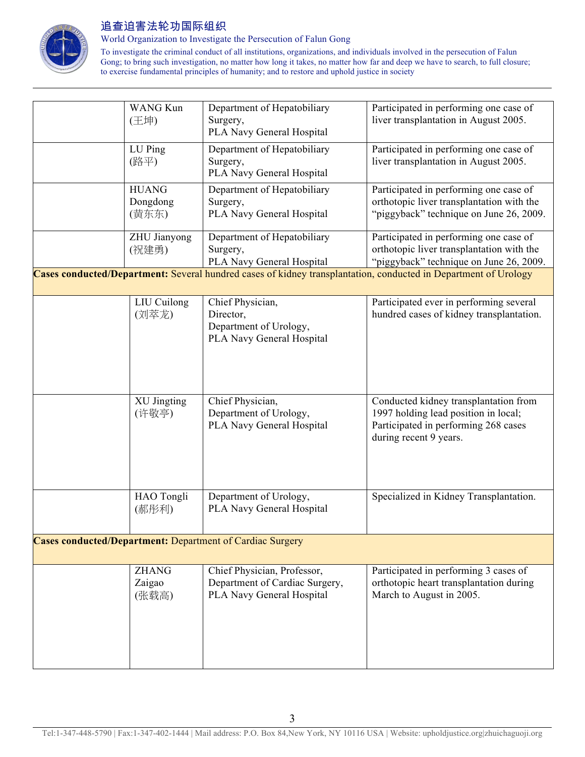

World Organization to Investigate the Persecution of Falun Gong

| <b>WANG Kun</b><br>(王坤)           | Department of Hepatobiliary<br>Surgery,<br>PLA Navy General Hospital                       | Participated in performing one case of<br>liver transplantation in August 2005.                                                                                                                                                                   |
|-----------------------------------|--------------------------------------------------------------------------------------------|---------------------------------------------------------------------------------------------------------------------------------------------------------------------------------------------------------------------------------------------------|
| LU Ping<br>(路平)                   | Department of Hepatobiliary<br>Surgery,<br>PLA Navy General Hospital                       | Participated in performing one case of<br>liver transplantation in August 2005.                                                                                                                                                                   |
| <b>HUANG</b><br>Dongdong<br>(黄东东) | Department of Hepatobiliary<br>Surgery,<br>PLA Navy General Hospital                       | Participated in performing one case of<br>orthotopic liver transplantation with the<br>"piggyback" technique on June 26, 2009.                                                                                                                    |
| ZHU Jianyong<br>(祝建勇)             | Department of Hepatobiliary<br>Surgery,<br>PLA Navy General Hospital                       | Participated in performing one case of<br>orthotopic liver transplantation with the<br>"piggyback" technique on June 26, 2009.<br>Cases conducted/Department: Several hundred cases of kidney transplantation, conducted in Department of Urology |
|                                   |                                                                                            |                                                                                                                                                                                                                                                   |
| LIU Cuilong<br>(刘萃龙)              | Chief Physician,<br>Director,<br>Department of Urology,<br>PLA Navy General Hospital       | Participated ever in performing several<br>hundred cases of kidney transplantation.                                                                                                                                                               |
| XU Jingting<br>(许敬亭)              | Chief Physician,<br>Department of Urology,<br>PLA Navy General Hospital                    | Conducted kidney transplantation from<br>1997 holding lead position in local;<br>Participated in performing 268 cases<br>during recent 9 years.                                                                                                   |
| HAO Tongli<br>(郝彤利)               | Department of Urology,<br>PLA Navy General Hospital                                        | Specialized in Kidney Transplantation.                                                                                                                                                                                                            |
|                                   | <b>Cases conducted/Department: Department of Cardiac Surgery</b>                           |                                                                                                                                                                                                                                                   |
| <b>ZHANG</b><br>Zaigao<br>(张载高)   | Chief Physician, Professor,<br>Department of Cardiac Surgery,<br>PLA Navy General Hospital | Participated in performing 3 cases of<br>orthotopic heart transplantation during<br>March to August in 2005.                                                                                                                                      |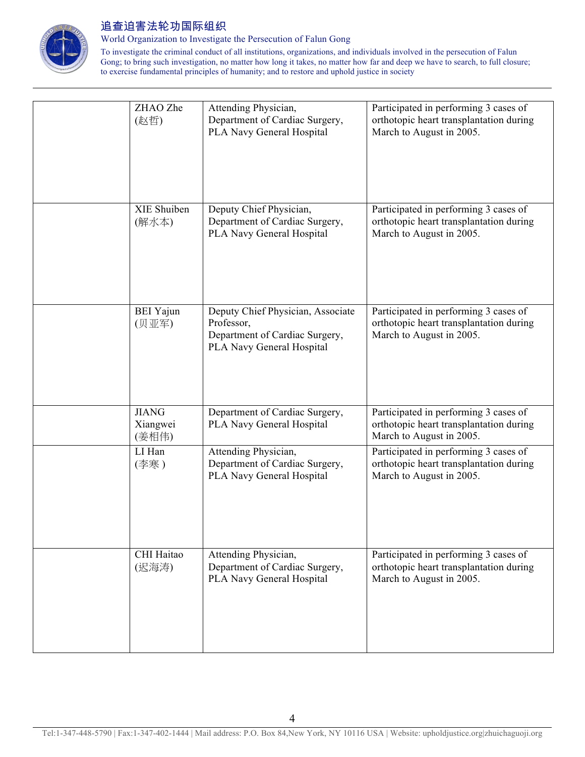

World Organization to Investigate the Persecution of Falun Gong

| ZHAO Zhe<br>(赵哲)                  | Attending Physician,<br>Department of Cardiac Surgery,<br>PLA Navy General Hospital                            | Participated in performing 3 cases of<br>orthotopic heart transplantation during<br>March to August in 2005. |
|-----------------------------------|----------------------------------------------------------------------------------------------------------------|--------------------------------------------------------------------------------------------------------------|
| XIE Shuiben<br>(解水本)              | Deputy Chief Physician,<br>Department of Cardiac Surgery,<br>PLA Navy General Hospital                         | Participated in performing 3 cases of<br>orthotopic heart transplantation during<br>March to August in 2005. |
| <b>BEI</b> Yajun<br>(贝亚军)         | Deputy Chief Physician, Associate<br>Professor,<br>Department of Cardiac Surgery,<br>PLA Navy General Hospital | Participated in performing 3 cases of<br>orthotopic heart transplantation during<br>March to August in 2005. |
| <b>JIANG</b><br>Xiangwei<br>(姜相伟) | Department of Cardiac Surgery,<br>PLA Navy General Hospital                                                    | Participated in performing 3 cases of<br>orthotopic heart transplantation during<br>March to August in 2005. |
| LI Han<br>(李寒)                    | Attending Physician,<br>Department of Cardiac Surgery,<br>PLA Navy General Hospital                            | Participated in performing 3 cases of<br>orthotopic heart transplantation during<br>March to August in 2005. |
| CHI Haitao<br>(迟海涛)               | Attending Physician,<br>Department of Cardiac Surgery,<br>PLA Navy General Hospital                            | Participated in performing 3 cases of<br>orthotopic heart transplantation during<br>March to August in 2005. |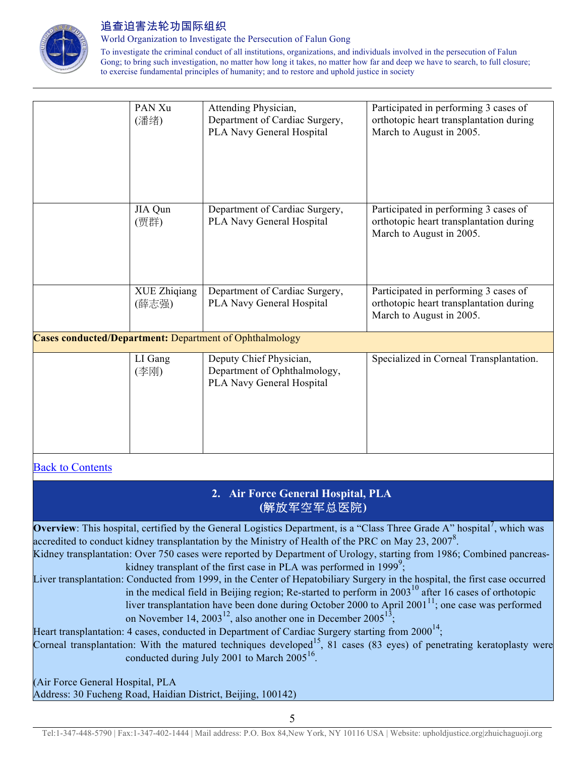

World Organization to Investigate the Persecution of Falun Gong

To investigate the criminal conduct of all institutions, organizations, and individuals involved in the persecution of Falun Gong; to bring such investigation, no matter how long it takes, no matter how far and deep we have to search, to full closure; to exercise fundamental principles of humanity; and to restore and uphold justice in society

| PAN Xu<br>(潘绪)        | Attending Physician,<br>Department of Cardiac Surgery,<br>PLA Navy General Hospital  | Participated in performing 3 cases of<br>orthotopic heart transplantation during<br>March to August in 2005. |
|-----------------------|--------------------------------------------------------------------------------------|--------------------------------------------------------------------------------------------------------------|
| JIA Qun<br>(贾群)       | Department of Cardiac Surgery,<br>PLA Navy General Hospital                          | Participated in performing 3 cases of<br>orthotopic heart transplantation during<br>March to August in 2005. |
| XUE Zhiqiang<br>(薛志强) | Department of Cardiac Surgery,<br>PLA Navy General Hospital                          | Participated in performing 3 cases of<br>orthotopic heart transplantation during<br>March to August in 2005. |
|                       | <b>Cases conducted/Department: Department of Ophthalmology</b>                       |                                                                                                              |
| LI Gang<br>(李刚)       | Deputy Chief Physician,<br>Department of Ophthalmology,<br>PLA Navy General Hospital | Specialized in Corneal Transplantation.                                                                      |

## Back to Contents

## **2. Air Force General Hospital, PLA (**解放军空军总医院**)**

**Overview**: This hospital, certified by the General Logistics Department, is a "Class Three Grade A" hospital<sup>7</sup>, which was accredited to conduct kidney transplantation by the Ministry of Health of the PRC on May 23, 2007<sup>8</sup>. Kidney transplantation: Over 750 cases were reported by Department of Urology, starting from 1986; Combined pancreas-

kidney transplant of the first case in PLA was performed in 1999<sup>9</sup>; Liver transplantation: Conducted from 1999, in the Center of Hepatobiliary Surgery in the hospital, the first case occurred

in the medical field in Beijing region; Re-started to perform in 2003<sup>10</sup> after 16 cases of orthotopic liver transplantation have been done during October 2000 to April 2001<sup>11</sup>; one case was performed on November 14, 2003<sup>12</sup>, also another one in December 2005<sup>13</sup>;

Heart transplantation: 4 cases, conducted in Department of Cardiac Surgery starting from  $2000^{14}$ ;

Corneal transplantation: With the matured techniques developed<sup>15</sup>, 81 cases (83 eyes) of penetrating keratoplasty were conducted during July 2001 to March 2005<sup>16</sup>.

(Air Force General Hospital, PLA Address: 30 Fucheng Road, Haidian District, Beijing, 100142)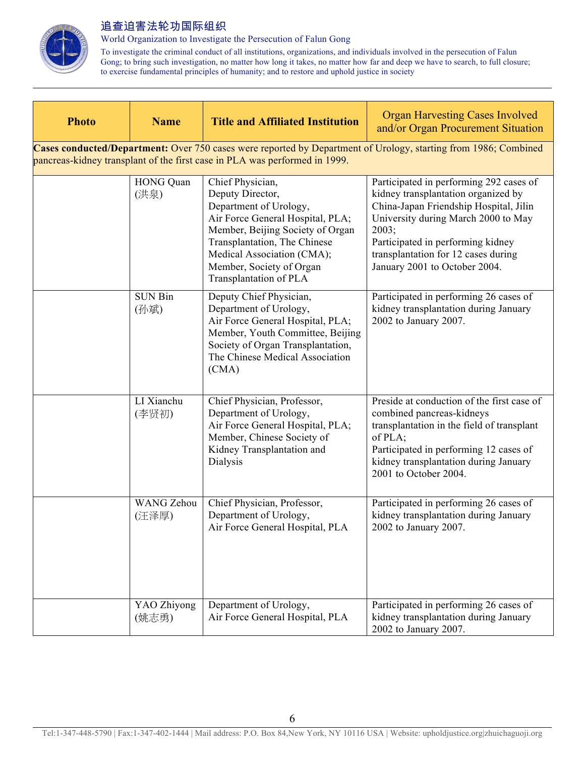

World Organization to Investigate the Persecution of Falun Gong

| <b>Photo</b> | <b>Name</b>                                                                                                                                                                                   | <b>Title and Affiliated Institution</b>                                                                                                                                                                                                                    | <b>Organ Harvesting Cases Involved</b><br>and/or Organ Procurement Situation                                                                                                                                                                                                          |  |  |
|--------------|-----------------------------------------------------------------------------------------------------------------------------------------------------------------------------------------------|------------------------------------------------------------------------------------------------------------------------------------------------------------------------------------------------------------------------------------------------------------|---------------------------------------------------------------------------------------------------------------------------------------------------------------------------------------------------------------------------------------------------------------------------------------|--|--|
|              | Cases conducted/Department: Over 750 cases were reported by Department of Urology, starting from 1986; Combined<br>pancreas-kidney transplant of the first case in PLA was performed in 1999. |                                                                                                                                                                                                                                                            |                                                                                                                                                                                                                                                                                       |  |  |
|              | HONG Quan<br>(洪泉)                                                                                                                                                                             | Chief Physician,<br>Deputy Director,<br>Department of Urology,<br>Air Force General Hospital, PLA;<br>Member, Beijing Society of Organ<br>Transplantation, The Chinese<br>Medical Association (CMA);<br>Member, Society of Organ<br>Transplantation of PLA | Participated in performing 292 cases of<br>kidney transplantation organized by<br>China-Japan Friendship Hospital, Jilin<br>University during March 2000 to May<br>2003;<br>Participated in performing kidney<br>transplantation for 12 cases during<br>January 2001 to October 2004. |  |  |
|              | <b>SUN Bin</b><br>(孙斌)                                                                                                                                                                        | Deputy Chief Physician,<br>Department of Urology,<br>Air Force General Hospital, PLA;<br>Member, Youth Committee, Beijing<br>Society of Organ Transplantation,<br>The Chinese Medical Association<br>(CMA)                                                 | Participated in performing 26 cases of<br>kidney transplantation during January<br>2002 to January 2007.                                                                                                                                                                              |  |  |
|              | LI Xianchu<br>(李贤初)                                                                                                                                                                           | Chief Physician, Professor,<br>Department of Urology,<br>Air Force General Hospital, PLA;<br>Member, Chinese Society of<br>Kidney Transplantation and<br>Dialysis                                                                                          | Preside at conduction of the first case of<br>combined pancreas-kidneys<br>transplantation in the field of transplant<br>of PLA;<br>Participated in performing 12 cases of<br>kidney transplantation during January<br>2001 to October 2004.                                          |  |  |
|              | <b>WANG Zehou</b><br>(汪泽厚)                                                                                                                                                                    | Chief Physician, Professor,<br>Department of Urology,<br>Air Force General Hospital, PLA                                                                                                                                                                   | Participated in performing 26 cases of<br>kidney transplantation during January<br>2002 to January 2007.                                                                                                                                                                              |  |  |
|              | YAO Zhiyong<br>(姚志勇)                                                                                                                                                                          | Department of Urology,<br>Air Force General Hospital, PLA                                                                                                                                                                                                  | Participated in performing 26 cases of<br>kidney transplantation during January<br>2002 to January 2007.                                                                                                                                                                              |  |  |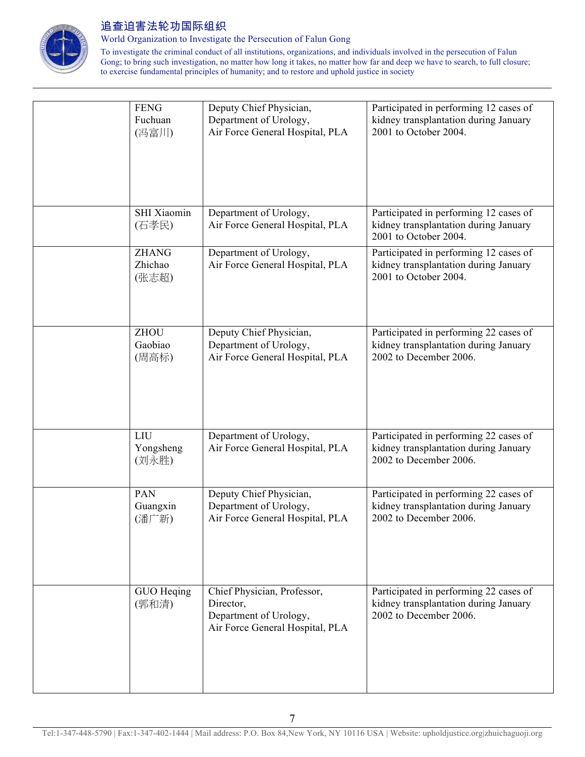

World Organization to Investigate the Persecution of Falun Gong

| <b>FENG</b><br>Fuchuan<br>(冯富川)  | Deputy Chief Physician,<br>Department of Urology,<br>Air Force General Hospital, PLA                  | Participated in performing 12 cases of<br>kidney transplantation during January<br>2001 to October 2004.  |
|----------------------------------|-------------------------------------------------------------------------------------------------------|-----------------------------------------------------------------------------------------------------------|
| SHI Xiaomin<br>(石孝民)             | Department of Urology,<br>Air Force General Hospital, PLA                                             | Participated in performing 12 cases of<br>kidney transplantation during January<br>2001 to October 2004.  |
| <b>ZHANG</b><br>Zhichao<br>(张志超) | Department of Urology,<br>Air Force General Hospital, PLA                                             | Participated in performing 12 cases of<br>kidney transplantation during January<br>2001 to October 2004.  |
| <b>ZHOU</b><br>Gaobiao<br>(周高标)  | Deputy Chief Physician,<br>Department of Urology,<br>Air Force General Hospital, PLA                  | Participated in performing 22 cases of<br>kidney transplantation during January<br>2002 to December 2006. |
| LIU<br>Yongsheng<br>(刘永胜)        | Department of Urology,<br>Air Force General Hospital, PLA                                             | Participated in performing 22 cases of<br>kidney transplantation during January<br>2002 to December 2006. |
| PAN<br>Guangxin<br>(潘广新)         | Deputy Chief Physician,<br>Department of Urology,<br>Air Force General Hospital, PLA                  | Participated in performing 22 cases of<br>kidney transplantation during January<br>2002 to December 2006. |
| GUO Heqing<br>(郭和清)              | Chief Physician, Professor,<br>Director,<br>Department of Urology,<br>Air Force General Hospital, PLA | Participated in performing 22 cases of<br>kidney transplantation during January<br>2002 to December 2006. |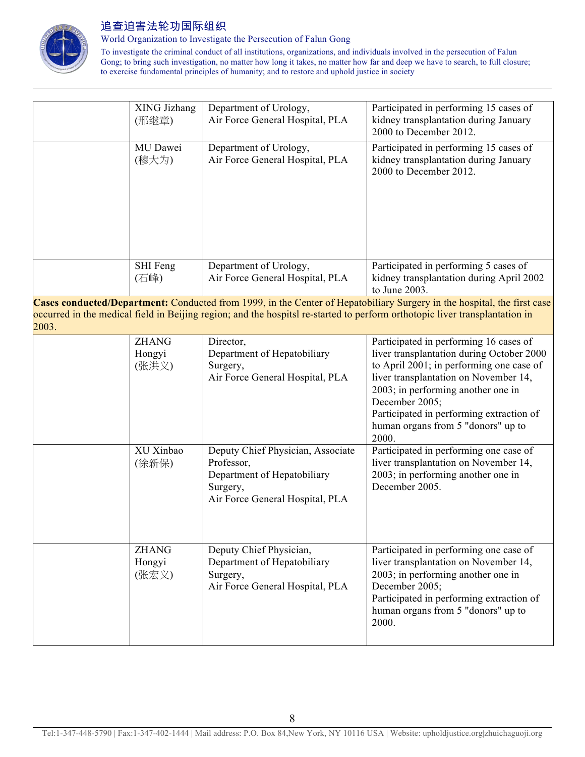

World Organization to Investigate the Persecution of Falun Gong

|       | XING Jizhang<br>(邢继章)<br>MU Dawei<br>(穆大为) | Department of Urology,<br>Air Force General Hospital, PLA<br>Department of Urology,<br>Air Force General Hospital, PLA        | Participated in performing 15 cases of<br>kidney transplantation during January<br>2000 to December 2012.<br>Participated in performing 15 cases of<br>kidney transplantation during January<br>2000 to December 2012.                                                                                                      |
|-------|--------------------------------------------|-------------------------------------------------------------------------------------------------------------------------------|-----------------------------------------------------------------------------------------------------------------------------------------------------------------------------------------------------------------------------------------------------------------------------------------------------------------------------|
|       | SHI Feng<br>(石峰)                           | Department of Urology,<br>Air Force General Hospital, PLA                                                                     | Participated in performing 5 cases of<br>kidney transplantation during April 2002<br>to June 2003.                                                                                                                                                                                                                          |
| 2003. |                                            |                                                                                                                               | Cases conducted/Department: Conducted from 1999, in the Center of Hepatobiliary Surgery in the hospital, the first case<br>occurred in the medical field in Beijing region; and the hospitsl re-started to perform orthotopic liver transplantation in                                                                      |
|       | <b>ZHANG</b><br>Hongyi<br>(张洪义)            | Director,<br>Department of Hepatobiliary<br>Surgery,<br>Air Force General Hospital, PLA                                       | Participated in performing 16 cases of<br>liver transplantation during October 2000<br>to April 2001; in performing one case of<br>liver transplantation on November 14,<br>2003; in performing another one in<br>December 2005;<br>Participated in performing extraction of<br>human organs from 5 "donors" up to<br>2000. |
|       | XU Xinbao<br>(徐新保)                         | Deputy Chief Physician, Associate<br>Professor,<br>Department of Hepatobiliary<br>Surgery,<br>Air Force General Hospital, PLA | Participated in performing one case of<br>liver transplantation on November 14,<br>2003; in performing another one in<br>December 2005.                                                                                                                                                                                     |
|       | <b>ZHANG</b><br>Hongyi<br>(张宏义)            | Deputy Chief Physician,<br>Department of Hepatobiliary<br>Surgery,<br>Air Force General Hospital, PLA                         | Participated in performing one case of<br>liver transplantation on November 14,<br>2003; in performing another one in<br>December 2005;<br>Participated in performing extraction of<br>human organs from 5 "donors" up to<br>2000.                                                                                          |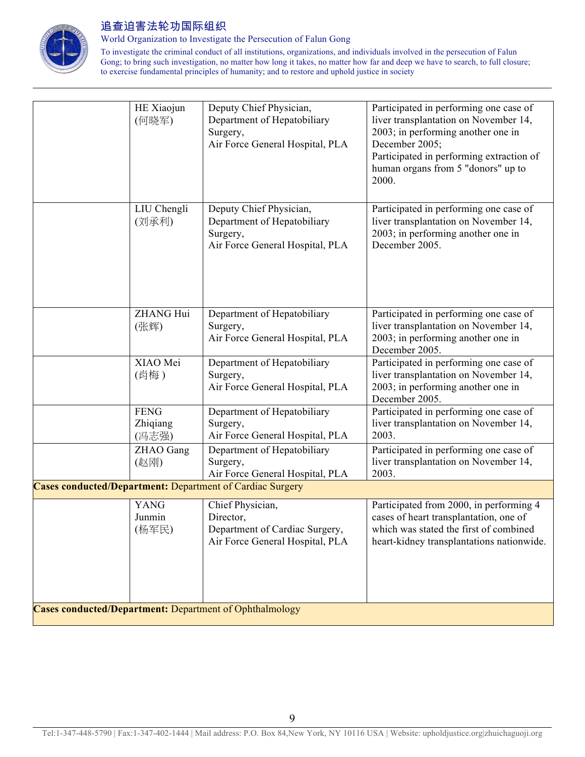

World Organization to Investigate the Persecution of Falun Gong

|                                                         | HE Xiaojun<br>(何晓军)              | Deputy Chief Physician,<br>Department of Hepatobiliary<br>Surgery,<br>Air Force General Hospital, PLA | Participated in performing one case of<br>liver transplantation on November 14,<br>2003; in performing another one in<br>December 2005;<br>Participated in performing extraction of<br>human organs from 5 "donors" up to<br>2000. |
|---------------------------------------------------------|----------------------------------|-------------------------------------------------------------------------------------------------------|------------------------------------------------------------------------------------------------------------------------------------------------------------------------------------------------------------------------------------|
|                                                         | LIU Chengli<br>(刘承利)             | Deputy Chief Physician,<br>Department of Hepatobiliary<br>Surgery,<br>Air Force General Hospital, PLA | Participated in performing one case of<br>liver transplantation on November 14,<br>2003; in performing another one in<br>December 2005.                                                                                            |
|                                                         | <b>ZHANG Hui</b><br>(张辉)         | Department of Hepatobiliary<br>Surgery,<br>Air Force General Hospital, PLA                            | Participated in performing one case of<br>liver transplantation on November 14,<br>2003; in performing another one in<br>December 2005.                                                                                            |
|                                                         | XIAO Mei<br>(肖梅)                 | Department of Hepatobiliary<br>Surgery,<br>Air Force General Hospital, PLA                            | Participated in performing one case of<br>liver transplantation on November 14,<br>2003; in performing another one in<br>December 2005.                                                                                            |
|                                                         | <b>FENG</b><br>Zhiqiang<br>(冯志强) | Department of Hepatobiliary<br>Surgery,<br>Air Force General Hospital, PLA                            | Participated in performing one case of<br>liver transplantation on November 14,<br>2003.                                                                                                                                           |
|                                                         | ZHAO Gang<br>(赵刚)                | Department of Hepatobiliary<br>Surgery,<br>Air Force General Hospital, PLA                            | Participated in performing one case of<br>liver transplantation on November 14,<br>2003.                                                                                                                                           |
|                                                         |                                  | <b>Cases conducted/Department: Department of Cardiac Surgery</b>                                      |                                                                                                                                                                                                                                    |
|                                                         | <b>YANG</b><br>Junmin<br>(杨军民)   | Chief Physician,<br>Director,<br>Department of Cardiac Surgery,<br>Air Force General Hospital, PLA    | Participated from 2000, in performing 4<br>cases of heart transplantation, one of<br>which was stated the first of combined<br>heart-kidney transplantations nationwide.                                                           |
| Cases conducted/Department: Department of Ophthalmology |                                  |                                                                                                       |                                                                                                                                                                                                                                    |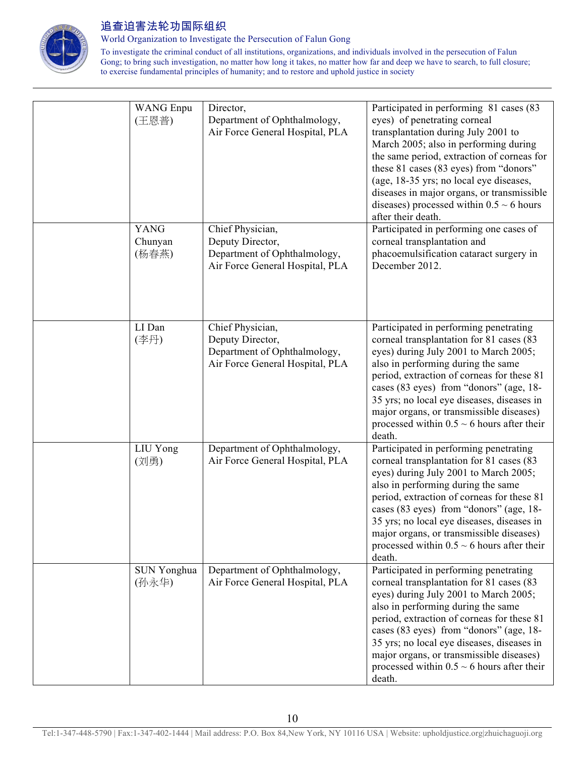

World Organization to Investigate the Persecution of Falun Gong

| <b>WANG</b> Enpu<br>(王恩普)       | Director,<br>Department of Ophthalmology,<br>Air Force General Hospital, PLA                            | Participated in performing 81 cases (83<br>eyes) of penetrating corneal<br>transplantation during July 2001 to<br>March 2005; also in performing during<br>the same period, extraction of corneas for<br>these 81 cases (83 eyes) from "donors"<br>(age, 18-35 yrs; no local eye diseases,<br>diseases in major organs, or transmissible<br>diseases) processed within $0.5 \sim 6$ hours<br>after their death.   |
|---------------------------------|---------------------------------------------------------------------------------------------------------|-------------------------------------------------------------------------------------------------------------------------------------------------------------------------------------------------------------------------------------------------------------------------------------------------------------------------------------------------------------------------------------------------------------------|
| <b>YANG</b><br>Chunyan<br>(杨春燕) | Chief Physician,<br>Deputy Director,<br>Department of Ophthalmology,<br>Air Force General Hospital, PLA | Participated in performing one cases of<br>corneal transplantation and<br>phacoemulsification cataract surgery in<br>December 2012.                                                                                                                                                                                                                                                                               |
| LI Dan<br>(李丹)                  | Chief Physician,<br>Deputy Director,<br>Department of Ophthalmology,<br>Air Force General Hospital, PLA | Participated in performing penetrating<br>corneal transplantation for 81 cases (83<br>eyes) during July 2001 to March 2005;<br>also in performing during the same<br>period, extraction of corneas for these 81<br>cases (83 eyes) from "donors" (age, 18-<br>35 yrs; no local eye diseases, diseases in<br>major organs, or transmissible diseases)<br>processed within $0.5 \sim 6$ hours after their<br>death. |
| LIU Yong<br>(刘勇)                | Department of Ophthalmology,<br>Air Force General Hospital, PLA                                         | Participated in performing penetrating<br>corneal transplantation for 81 cases (83<br>eyes) during July 2001 to March 2005;<br>also in performing during the same<br>period, extraction of corneas for these 81<br>cases (83 eyes) from "donors" (age, 18-<br>35 yrs; no local eye diseases, diseases in<br>major organs, or transmissible diseases)<br>processed within $0.5 \sim 6$ hours after their<br>death. |
| SUN Yonghua<br>(孙永华)            | Department of Ophthalmology,<br>Air Force General Hospital, PLA                                         | Participated in performing penetrating<br>corneal transplantation for 81 cases (83<br>eyes) during July 2001 to March 2005;<br>also in performing during the same<br>period, extraction of corneas for these 81<br>cases (83 eyes) from "donors" (age, 18-<br>35 yrs; no local eye diseases, diseases in<br>major organs, or transmissible diseases)<br>processed within $0.5 \sim 6$ hours after their<br>death. |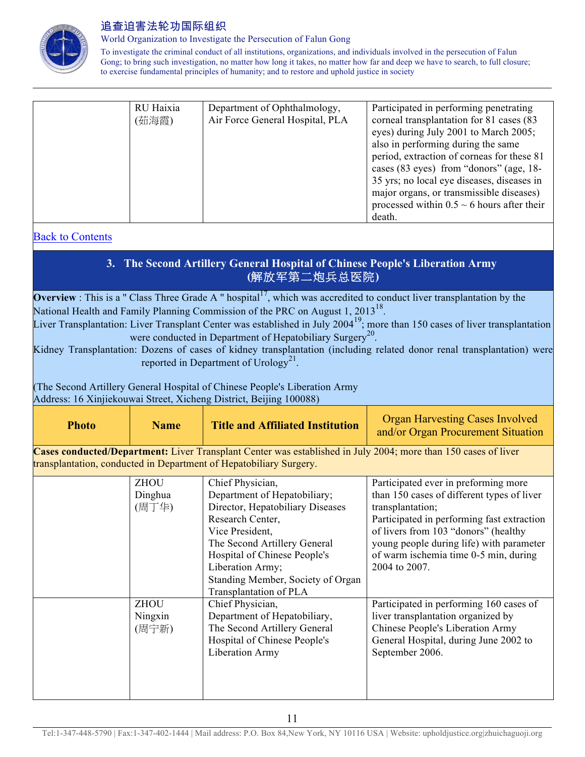

World Organization to Investigate the Persecution of Falun Gong

To investigate the criminal conduct of all institutions, organizations, and individuals involved in the persecution of Falun Gong; to bring such investigation, no matter how long it takes, no matter how far and deep we have to search, to full closure; to exercise fundamental principles of humanity; and to restore and uphold justice in society

| RU Haixia<br>(茹海霞) | Department of Ophthalmology,<br>Air Force General Hospital, PLA | Participated in performing penetrating<br>corneal transplantation for 81 cases (83<br>eyes) during July 2001 to March 2005;<br>also in performing during the same<br>period, extraction of corneas for these 81<br>cases (83 eyes) from "donors" (age, 18-<br>35 yrs; no local eye diseases, diseases in |
|--------------------|-----------------------------------------------------------------|----------------------------------------------------------------------------------------------------------------------------------------------------------------------------------------------------------------------------------------------------------------------------------------------------------|
|                    |                                                                 | major organs, or transmissible diseases)<br>processed within $0.5 \sim 6$ hours after their<br>death.                                                                                                                                                                                                    |

#### Back to Contents

# **3. The Second Artillery General Hospital of Chinese People's Liberation Army (**解放军第二炮兵总医院**)**

**Overview** : This is a " Class Three Grade A " hospital<sup>17</sup>, which was accredited to conduct liver transplantation by the National Health and Family Planning Commission of the PRC on August 1, 2013<sup>18</sup>. Liver Transplantation: Liver Transplant Center was established in July 2004<sup>19</sup>; more than 150 cases of liver transplantation

were conducted in Department of Hepatobiliary Surgery<sup>20</sup>.

Kidney Transplantation: Dozens of cases of kidney transplantation (including related donor renal transplantation) were reported in Department of Urology<sup>21</sup>.

(The Second Artillery General Hospital of Chinese People's Liberation Army

Address: 16 Xinjiekouwai Street, Xicheng District, Beijing 100088)

| <b>Photo</b>                                                                                                                                                                         | <b>Name</b>                     | <b>Title and Affiliated Institution</b>                                                                                                                                                                                                                                        | <b>Organ Harvesting Cases Involved</b><br>and/or Organ Procurement Situation                                                                                                                                                                                                                       |
|--------------------------------------------------------------------------------------------------------------------------------------------------------------------------------------|---------------------------------|--------------------------------------------------------------------------------------------------------------------------------------------------------------------------------------------------------------------------------------------------------------------------------|----------------------------------------------------------------------------------------------------------------------------------------------------------------------------------------------------------------------------------------------------------------------------------------------------|
| Cases conducted/Department: Liver Transplant Center was established in July 2004; more than 150 cases of liver<br>transplantation, conducted in Department of Hepatobiliary Surgery. |                                 |                                                                                                                                                                                                                                                                                |                                                                                                                                                                                                                                                                                                    |
|                                                                                                                                                                                      | <b>ZHOU</b><br>Dinghua<br>(周丁华) | Chief Physician,<br>Department of Hepatobiliary;<br>Director, Hepatobiliary Diseases<br>Research Center,<br>Vice President,<br>The Second Artillery General<br>Hospital of Chinese People's<br>Liberation Army;<br>Standing Member, Society of Organ<br>Transplantation of PLA | Participated ever in preforming more<br>than 150 cases of different types of liver<br>transplantation;<br>Participated in performing fast extraction<br>of livers from 103 "donors" (healthy<br>young people during life) with parameter<br>of warm ischemia time 0-5 min, during<br>2004 to 2007. |
|                                                                                                                                                                                      | <b>ZHOU</b><br>Ningxin<br>(周宁新) | Chief Physician,<br>Department of Hepatobiliary,<br>The Second Artillery General<br>Hospital of Chinese People's<br>Liberation Army                                                                                                                                            | Participated in performing 160 cases of<br>liver transplantation organized by<br>Chinese People's Liberation Army<br>General Hospital, during June 2002 to<br>September 2006.                                                                                                                      |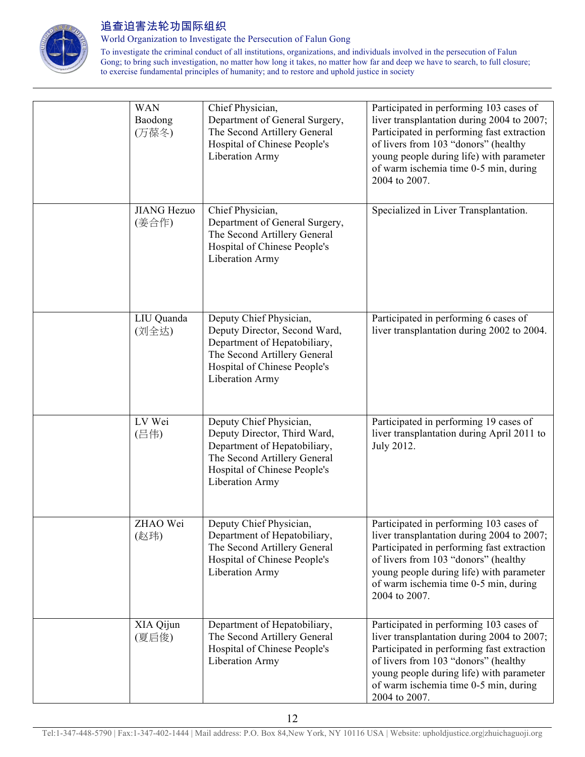

World Organization to Investigate the Persecution of Falun Gong

| <b>WAN</b><br>Baodong<br>(万葆冬) | Chief Physician,<br>Department of General Surgery,<br>The Second Artillery General<br>Hospital of Chinese People's<br><b>Liberation Army</b>                                       | Participated in performing 103 cases of<br>liver transplantation during 2004 to 2007;<br>Participated in performing fast extraction<br>of livers from 103 "donors" (healthy<br>young people during life) with parameter<br>of warm ischemia time 0-5 min, during<br>2004 to 2007. |
|--------------------------------|------------------------------------------------------------------------------------------------------------------------------------------------------------------------------------|-----------------------------------------------------------------------------------------------------------------------------------------------------------------------------------------------------------------------------------------------------------------------------------|
| <b>JIANG Hezuo</b><br>(姜合作)    | Chief Physician,<br>Department of General Surgery,<br>The Second Artillery General<br>Hospital of Chinese People's<br><b>Liberation Army</b>                                       | Specialized in Liver Transplantation.                                                                                                                                                                                                                                             |
| LIU Quanda<br>(刘全达)            | Deputy Chief Physician,<br>Deputy Director, Second Ward,<br>Department of Hepatobiliary,<br>The Second Artillery General<br>Hospital of Chinese People's<br><b>Liberation Army</b> | Participated in performing 6 cases of<br>liver transplantation during 2002 to 2004.                                                                                                                                                                                               |
| LV Wei<br>(吕伟)                 | Deputy Chief Physician,<br>Deputy Director, Third Ward,<br>Department of Hepatobiliary,<br>The Second Artillery General<br>Hospital of Chinese People's<br><b>Liberation Army</b>  | Participated in performing 19 cases of<br>liver transplantation during April 2011 to<br>July 2012.                                                                                                                                                                                |
| ZHAO Wei<br>(赵玮)               | Deputy Chief Physician,<br>Department of Hepatobiliary,<br>The Second Artillery General<br>Hospital of Chinese People's<br>Liberation Army                                         | Participated in performing 103 cases of<br>liver transplantation during 2004 to 2007;<br>Participated in performing fast extraction<br>of livers from 103 "donors" (healthy<br>young people during life) with parameter<br>of warm ischemia time 0-5 min, during<br>2004 to 2007. |
| XIA Qijun<br>(夏启俊)             | Department of Hepatobiliary,<br>The Second Artillery General<br>Hospital of Chinese People's<br><b>Liberation Army</b>                                                             | Participated in performing 103 cases of<br>liver transplantation during 2004 to 2007;<br>Participated in performing fast extraction<br>of livers from 103 "donors" (healthy<br>young people during life) with parameter<br>of warm ischemia time 0-5 min, during<br>2004 to 2007. |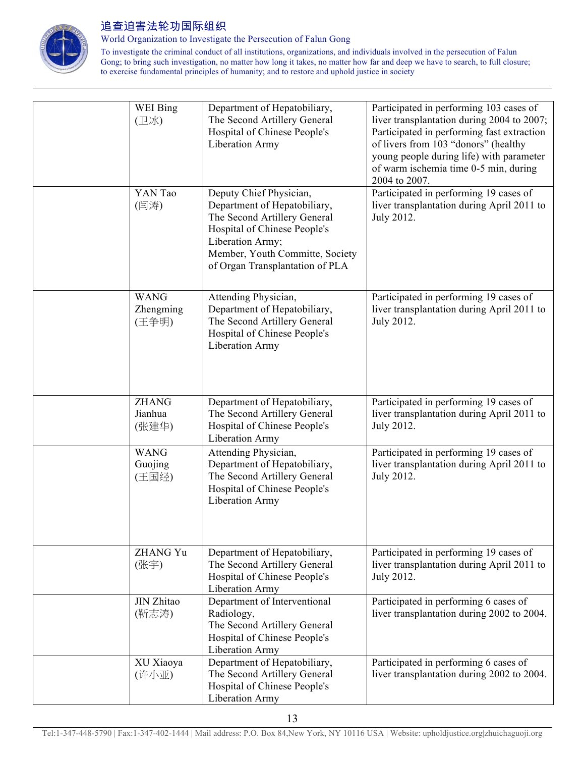

World Organization to Investigate the Persecution of Falun Gong

| WEI Bing<br>(卫冰)                  | Department of Hepatobiliary,<br>The Second Artillery General<br>Hospital of Chinese People's<br><b>Liberation Army</b>                                                                                            | Participated in performing 103 cases of<br>liver transplantation during 2004 to 2007;<br>Participated in performing fast extraction<br>of livers from 103 "donors" (healthy<br>young people during life) with parameter<br>of warm ischemia time 0-5 min, during<br>2004 to 2007. |
|-----------------------------------|-------------------------------------------------------------------------------------------------------------------------------------------------------------------------------------------------------------------|-----------------------------------------------------------------------------------------------------------------------------------------------------------------------------------------------------------------------------------------------------------------------------------|
| YAN Tao<br>(闫涛)                   | Deputy Chief Physician,<br>Department of Hepatobiliary,<br>The Second Artillery General<br>Hospital of Chinese People's<br>Liberation Army;<br>Member, Youth Committe, Society<br>of Organ Transplantation of PLA | Participated in performing 19 cases of<br>liver transplantation during April 2011 to<br>July 2012.                                                                                                                                                                                |
| <b>WANG</b><br>Zhengming<br>(王争明) | Attending Physician,<br>Department of Hepatobiliary,<br>The Second Artillery General<br>Hospital of Chinese People's<br>Liberation Army                                                                           | Participated in performing 19 cases of<br>liver transplantation during April 2011 to<br>July 2012.                                                                                                                                                                                |
| <b>ZHANG</b><br>Jianhua<br>(张建华)  | Department of Hepatobiliary,<br>The Second Artillery General<br>Hospital of Chinese People's<br>Liberation Army                                                                                                   | Participated in performing 19 cases of<br>liver transplantation during April 2011 to<br>July 2012.                                                                                                                                                                                |
| <b>WANG</b><br>Guojing<br>(王国经)   | Attending Physician,<br>Department of Hepatobiliary,<br>The Second Artillery General<br>Hospital of Chinese People's<br><b>Liberation Army</b>                                                                    | Participated in performing 19 cases of<br>liver transplantation during April 2011 to<br>July 2012.                                                                                                                                                                                |
| <b>ZHANG Yu</b><br>(张宇)           | Department of Hepatobiliary,<br>The Second Artillery General<br>Hospital of Chinese People's<br>Liberation Army                                                                                                   | Participated in performing 19 cases of<br>liver transplantation during April 2011 to<br>July 2012.                                                                                                                                                                                |
| JIN Zhitao<br>(靳志涛)               | Department of Interventional<br>Radiology,<br>The Second Artillery General<br>Hospital of Chinese People's<br>Liberation Army                                                                                     | Participated in performing 6 cases of<br>liver transplantation during 2002 to 2004.                                                                                                                                                                                               |
| XU Xiaoya<br>(许小亚)                | Department of Hepatobiliary,<br>The Second Artillery General<br>Hospital of Chinese People's<br>Liberation Army                                                                                                   | Participated in performing 6 cases of<br>liver transplantation during 2002 to 2004.                                                                                                                                                                                               |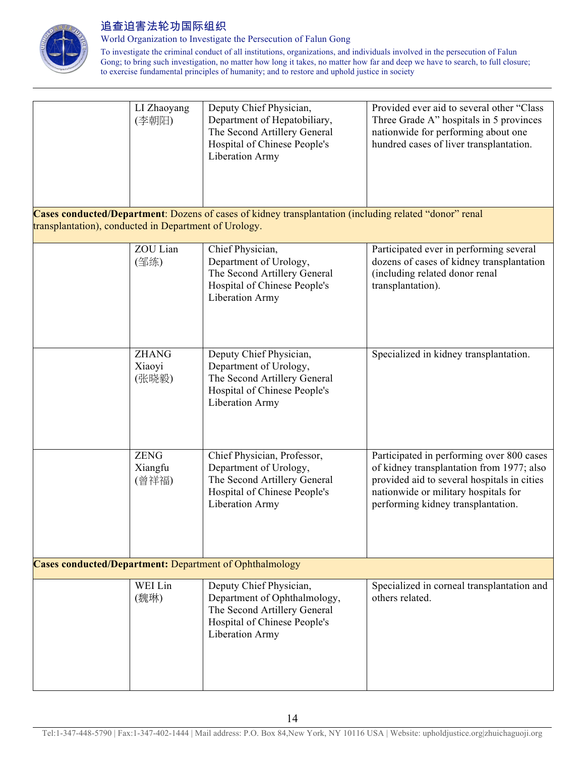

World Organization to Investigate the Persecution of Falun Gong

|                                                                | LI Zhaoyang<br>(李朝阳)            | Deputy Chief Physician,<br>Department of Hepatobiliary,<br>The Second Artillery General<br>Hospital of Chinese People's<br>Liberation Army | Provided ever aid to several other "Class<br>Three Grade A" hospitals in 5 provinces<br>nationwide for performing about one<br>hundred cases of liver transplantation.                                              |
|----------------------------------------------------------------|---------------------------------|--------------------------------------------------------------------------------------------------------------------------------------------|---------------------------------------------------------------------------------------------------------------------------------------------------------------------------------------------------------------------|
| transplantation), conducted in Department of Urology.          |                                 | Cases conducted/Department: Dozens of cases of kidney transplantation (including related "donor" renal                                     |                                                                                                                                                                                                                     |
|                                                                | ZOU Lian<br>(邹练)                | Chief Physician,<br>Department of Urology,<br>The Second Artillery General<br>Hospital of Chinese People's<br>Liberation Army              | Participated ever in performing several<br>dozens of cases of kidney transplantation<br>(including related donor renal<br>transplantation).                                                                         |
|                                                                | <b>ZHANG</b><br>Xiaoyi<br>(张晓毅) | Deputy Chief Physician,<br>Department of Urology,<br>The Second Artillery General<br>Hospital of Chinese People's<br>Liberation Army       | Specialized in kidney transplantation.                                                                                                                                                                              |
|                                                                | <b>ZENG</b><br>Xiangfu<br>(曾祥福) | Chief Physician, Professor,<br>Department of Urology,<br>The Second Artillery General<br>Hospital of Chinese People's<br>Liberation Army   | Participated in performing over 800 cases<br>of kidney transplantation from 1977; also<br>provided aid to several hospitals in cities<br>nationwide or military hospitals for<br>performing kidney transplantation. |
| <b>Cases conducted/Department:</b> Department of Ophthalmology |                                 |                                                                                                                                            |                                                                                                                                                                                                                     |
|                                                                | WEI Lin<br>(魏琳)                 | Deputy Chief Physician,<br>Department of Ophthalmology,<br>The Second Artillery General<br>Hospital of Chinese People's<br>Liberation Army | Specialized in corneal transplantation and<br>others related.                                                                                                                                                       |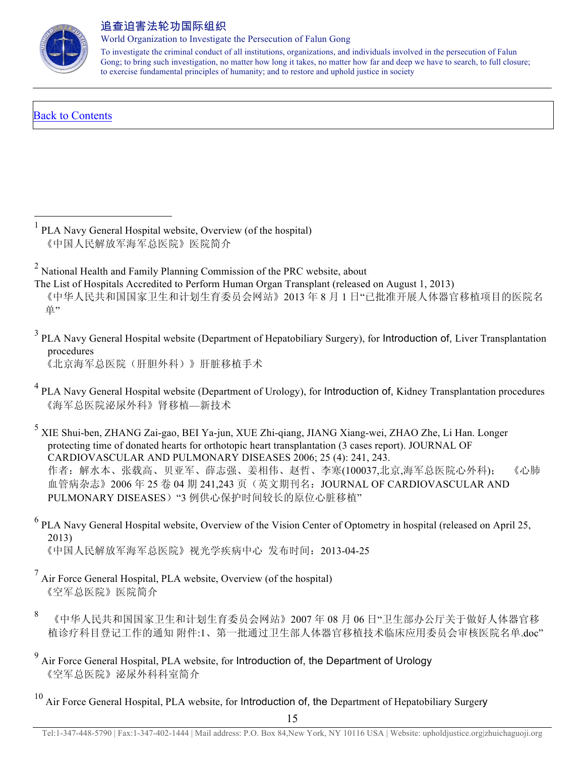

World Organization to Investigate the Persecution of Falun Gong

To investigate the criminal conduct of all institutions, organizations, and individuals involved in the persecution of Falun Gong; to bring such investigation, no matter how long it takes, no matter how far and deep we have to search, to full closure; to exercise fundamental principles of humanity; and to restore and uphold justice in society

# Back to Contents

 $<sup>1</sup>$  PLA Navy General Hospital website, Overview (of the hospital)</sup> 《中国人民解放军海军总医院》医院简介

<sup>2</sup> National Health and Family Planning Commission of the PRC website, about

The List of Hospitals Accredited to Perform Human Organ Transplant (released on August 1, 2013)

 《中华人民共和国国家卫生和计划生育委员会网站》2013 年 8 月 1 日"已批准开展人体器官移植项目的医院名 单"

<sup>3</sup> PLA Navy General Hospital website (Department of Hepatobiliary Surgery), for Introduction of, Liver Transplantation procedures

《北京海军总医院(肝胆外科)》肝脏移植手术

<sup>4</sup> PLA Navy General Hospital website (Department of Urology), for Introduction of, Kidney Transplantation procedures 《海军总医院泌尿外科》肾移植—新技术

<sup>5</sup> XIE Shui-ben, ZHANG Zai-gao, BEI Ya-jun, XUE Zhi-qiang, JIANG Xiang-wei, ZHAO Zhe, Li Han. Longer protecting time of donated hearts for orthotopic heart transplantation (3 cases report). JOURNAL OF CARDIOVASCULAR AND PULMONARY DISEASES 2006; 25 (4): 241, 243. 作者:解水本、张载高、贝亚军、薛志强、姜相伟、赵哲、李寒(100037,北京,海军总医院心外科); 《心肺 血管病杂志》2006年 25 卷 04 期 241,243 页(英文期刊名: JOURNAL OF CARDIOVASCULAR AND PULMONARY DISEASES) "3 例供心保护时间较长的原位心脏移植"

<sup>6</sup> PLA Navy General Hospital website, Overview of the Vision Center of Optometry in hospital (released on April 25, 2013) 《中国人民解放军海军总医院》视光学疾病中心 发布时间:2013-04-25

 $<sup>7</sup>$  Air Force General Hospital, PLA website, Overview (of the hospital)</sup> 《空军总医院》医院简介

8 《中华人民共和国国家卫生和计划生育委员会网站》2007 年 08 月 06 日"卫生部办公厅关于做好人体器官移 植诊疗科目登记工作的通知 附件:1、第一批通过卫生部人体器官移植技术临床应用委员会审核医院名单.doc"

<sup>9</sup> Air Force General Hospital, PLA website, for Introduction of, the Department of Urology 《空军总医院》泌尿外科科室简介

 $10$  Air Force General Hospital, PLA website, for Introduction of, the Department of Hepatobiliary Surgery

15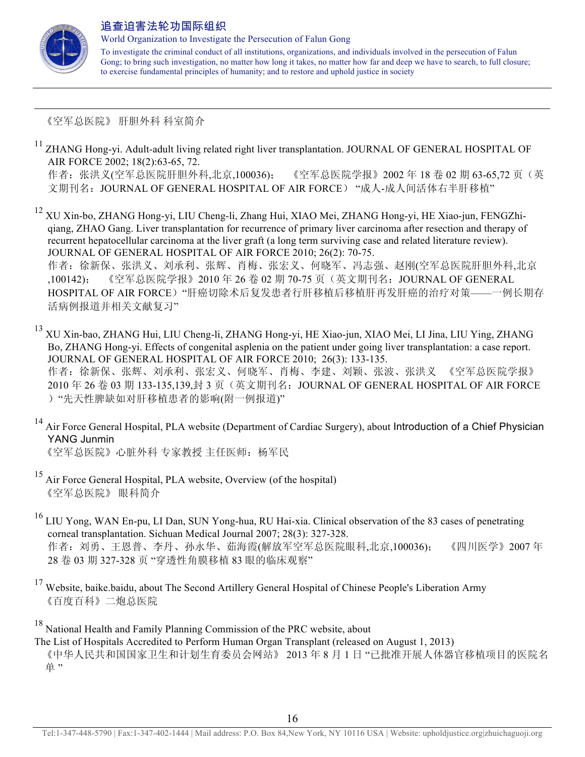

 $\overline{a}$ 

#### 追查迫害法轮功国际组织

World Organization to Investigate the Persecution of Falun Gong

To investigate the criminal conduct of all institutions, organizations, and individuals involved in the persecution of Falun Gong; to bring such investigation, no matter how long it takes, no matter how far and deep we have to search, to full closure; to exercise fundamental principles of humanity; and to restore and uphold justice in society

《空军总医院》 肝胆外科 科室简介

<sup>11</sup> ZHANG Hong-yi. Adult-adult living related right liver transplantation. JOURNAL OF GENERAL HOSPITAL OF AIR FORCE 2002; 18(2):63-65, 72. 作者: 张洪义(空军总医院肝胆外科,北京,100036); 《空军总医院学报》2002年18卷 02期 63-65,72页(英

文期刊名: JOURNAL OF GENERAL HOSPITAL OF AIR FORCE) "成人-成人间活体右半肝移植"

<sup>12</sup> XU Xin-bo, ZHANG Hong-yi, LIU Cheng-li, Zhang Hui, XIAO Mei, ZHANG Hong-yi, HE Xiao-jun, FENGZhiqiang, ZHAO Gang. Liver transplantation for recurrence of primary liver carcinoma after resection and therapy of recurrent hepatocellular carcinoma at the liver graft (a long term surviving case and related literature review). JOURNAL OF GENERAL HOSPITAL OF AIR FORCE 2010; 26(2): 70-75. 作者:徐新保、张洪义、刘承利、张辉、肖梅、张宏义、何晓军、冯志强、赵刚(空军总医院肝胆外科,北京 ,100142); 《空军总医院学报》2010 年 26 卷 02 期 70-75 页(英文期刊名:JOURNAL OF GENERAL HOSPITAL OF AIR FORCE)"肝癌切除术后复发患者行肝移植后移植肝再发肝癌的治疗对策——一例长期存 活病例报道并相关文献复习"

<sup>13</sup> XU Xin-bao, ZHANG Hui, LIU Cheng-li, ZHANG Hong-yi, HE Xiao-jun, XIAO Mei, LI Jina, LIU Ying, ZHANG Bo, ZHANG Hong-yi. Effects of congenital asplenia on the patient under going liver transplantation: a case report. JOURNAL OF GENERAL HOSPITAL OF AIR FORCE 2010; 26(3): 133-135. 作者:徐新保、张辉、刘承利、张宏义、何晓军、肖梅、李建、刘颖、张波、张洪义 《空军总医院学报》 2010 年 26 卷 03 期 133-135,139,封 3 页(英文期刊名:JOURNAL OF GENERAL HOSPITAL OF AIR FORCE )"先天性脾缺如对肝移植患者的影响(附一例报道)"

<sup>14</sup> Air Force General Hospital, PLA website (Department of Cardiac Surgery), about Introduction of a Chief Physician YANG Junmin

《空军总医院》心脏外科 专家教授 主任医师: 杨军民

- <sup>15</sup> Air Force General Hospital, PLA website, Overview (of the hospital) 《空军总医院》 眼科简介
- <sup>16</sup> LIU Yong, WAN En-pu, LI Dan, SUN Yong-hua, RU Hai-xia. Clinical observation of the 83 cases of penetrating corneal transplantation. Sichuan Medical Journal 2007; 28(3): 327-328. 作者:刘勇、王恩普、李丹、孙永华、茹海霞(解放军空军总医院眼科,北京,100036); 《四川医学》2007 年 28 卷 03 期 327-328 页 "穿透性角膜移植 83 眼的临床观察"
- $17$  Website, baike.baidu, about The Second Artillery General Hospital of Chinese People's Liberation Army 《百度百科》二炮总医院

<sup>18</sup> National Health and Family Planning Commission of the PRC website, about The List of Hospitals Accredited to Perform Human Organ Transplant (released on August 1, 2013) 《中华人民共和国国家卫生和计划生育委员会网站》 2013 年 8 月 1 日 "已批准开展人体器官移植项目的医院名 单"

Tel:1-347-448-5790 | Fax:1-347-402-1444 | Mail address: P.O. Box 84,New York, NY 10116 USA | Website: upholdjustice.org|zhuichaguoji.org